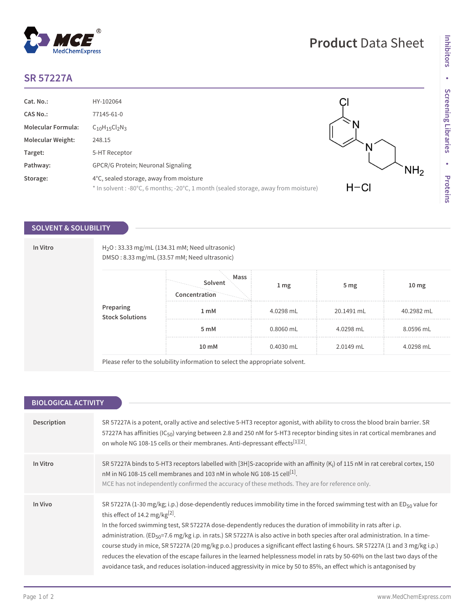## **SR 57227A**

| Cat. No.:                 | HY-102064                                                                                                                      |          |
|---------------------------|--------------------------------------------------------------------------------------------------------------------------------|----------|
| <b>CAS No.:</b>           | 77145-61-0                                                                                                                     |          |
| <b>Molecular Formula:</b> | $C_{10}H_{15}Cl_{2}N_{3}$                                                                                                      |          |
| <b>Molecular Weight:</b>  | 248.15                                                                                                                         |          |
| Target:                   | 5-HT Receptor                                                                                                                  |          |
| Pathway:                  | GPCR/G Protein; Neuronal Signaling                                                                                             |          |
| Storage:                  | 4°C, sealed storage, away from moisture<br>* In solvent : -80°C, 6 months; -20°C, 1 month (sealed storage, away from moisture) | $H - Cl$ |

## **SOLVENT & SOLUBILITY**

**In Vitro H<sub>2</sub>O** : 33.33 mg/mL (134.31 mM; Need ultrasonic) DMSO : 8.33 mg/mL (33.57 mM; Need ultrasonic)

| Preparing<br>Stock Solutions | Mass<br>Solvent<br>Concentration | $1 \,\mathrm{mg}$ | 5 <sub>mg</sub> | 10 <sub>mg</sub> |
|------------------------------|----------------------------------|-------------------|-----------------|------------------|
|                              | 1 <sub>m</sub> M                 | 4.0298 mL         | 20.1491 mL      | 40.2982 mL       |
|                              | 5 mM                             | 0.8060 mL         | 4.0298 mL       | 8.0596 mL        |
|                              | 10 <sub>mm</sub>                 | 0.4030 mL         | 2.0149 mL       | 4.0298 mL        |
|                              |                                  |                   |                 |                  |

Please refer to the solubility information to select the appropriate solvent.

| <b>BIOLOGICAL ACTIVITY</b> |                                                                                                                                                                                                                                                                                                                                                                                                                                                                                                                                                                                                                                                                                                                                                                                                                                 |  |  |
|----------------------------|---------------------------------------------------------------------------------------------------------------------------------------------------------------------------------------------------------------------------------------------------------------------------------------------------------------------------------------------------------------------------------------------------------------------------------------------------------------------------------------------------------------------------------------------------------------------------------------------------------------------------------------------------------------------------------------------------------------------------------------------------------------------------------------------------------------------------------|--|--|
|                            |                                                                                                                                                                                                                                                                                                                                                                                                                                                                                                                                                                                                                                                                                                                                                                                                                                 |  |  |
| Description                | SR 57227A is a potent, orally active and selective 5-HT3 receptor agonist, with ability to cross the blood brain barrier. SR<br>57227A has affinities (IC <sub>50</sub> ) varying between 2.8 and 250 nM for 5-HT3 receptor binding sites in rat cortical membranes and<br>on whole NG 108-15 cells or their membranes. Anti-depressant effects <sup>[1][2]</sup> .                                                                                                                                                                                                                                                                                                                                                                                                                                                             |  |  |
| In Vitro                   | SR 57227A binds to 5-HT3 receptors labelled with [3H]S-zacopride with an affinity $(K_i)$ of 115 nM in rat cerebral cortex, 150<br>nM in NG 108-15 cell membranes and 103 nM in whole NG 108-15 cell <sup>[1]</sup> .<br>MCE has not independently confirmed the accuracy of these methods. They are for reference only.                                                                                                                                                                                                                                                                                                                                                                                                                                                                                                        |  |  |
| In Vivo                    | SR 57227A (1-30 mg/kg; i.p.) dose-dependently reduces immobility time in the forced swimming test with an ED <sub>50</sub> value for<br>this effect of 14.2 mg/kg $[2]$ .<br>In the forced swimming test, SR 57227A dose-dependently reduces the duration of immobility in rats after i.p.<br>administration. (ED <sub>50</sub> =7.6 mg/kg i.p. in rats.) SR 57227A is also active in both species after oral administration. In a time-<br>course study in mice, SR 57227A (20 mg/kg p.o.) produces a significant effect lasting 6 hours. SR 57227A (1 and 3 mg/kg i.p.)<br>reduces the elevation of the escape failures in the learned helplessness model in rats by 50-60% on the last two days of the<br>avoidance task, and reduces isolation-induced aggressivity in mice by 50 to 85%, an effect which is antagonised by |  |  |